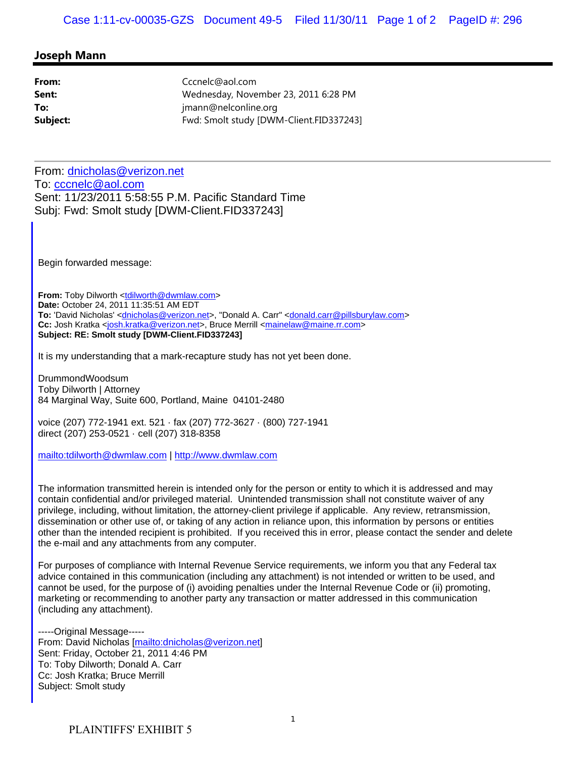## **Joseph Mann**

| From:    | Cccnelc@aol.com                         |
|----------|-----------------------------------------|
| Sent:    | Wednesday, November 23, 2011 6:28 PM    |
| To:      | jmann@nelconline.org                    |
| Subject: | Fwd: Smolt study [DWM-Client.FID337243] |

From: dnicholas@verizon.net To: cccnelc@aol.com Sent: 11/23/2011 5:58:55 P.M. Pacific Standard Time Subj: Fwd: Smolt study [DWM-Client.FID337243]

Begin forwarded message:

**From:** Toby Dilworth <tdilworth@dwmlaw.com> **Date:** October 24, 2011 11:35:51 AM EDT To: 'David Nicholas' <dnicholas@verizon.net>, "Donald A. Carr" <donald.carr@pillsburylaw.com> **Cc:** Josh Kratka <josh.kratka@verizon.net>, Bruce Merrill <mainelaw@maine.rr.com> **Subject: RE: Smolt study [DWM-Client.FID337243]**

It is my understanding that a mark-recapture study has not yet been done.

DrummondWoodsum Toby Dilworth | Attorney 84 Marginal Way, Suite 600, Portland, Maine 04101-2480

voice (207) 772-1941 ext. 521 · fax (207) 772-3627 · (800) 727-1941 direct (207) 253-0521 · cell (207) 318-8358

mailto:tdilworth@dwmlaw.com | http://www.dwmlaw.com

The information transmitted herein is intended only for the person or entity to which it is addressed and may contain confidential and/or privileged material. Unintended transmission shall not constitute waiver of any privilege, including, without limitation, the attorney-client privilege if applicable. Any review, retransmission, dissemination or other use of, or taking of any action in reliance upon, this information by persons or entities other than the intended recipient is prohibited. If you received this in error, please contact the sender and delete the e-mail and any attachments from any computer.

For purposes of compliance with Internal Revenue Service requirements, we inform you that any Federal tax advice contained in this communication (including any attachment) is not intended or written to be used, and cannot be used, for the purpose of (i) avoiding penalties under the Internal Revenue Code or (ii) promoting, marketing or recommending to another party any transaction or matter addressed in this communication (including any attachment).

-----Original Message----- From: David Nicholas [mailto:dnicholas@verizon.net] Sent: Friday, October 21, 2011 4:46 PM To: Toby Dilworth; Donald A. Carr Cc: Josh Kratka; Bruce Merrill Subject: Smolt study